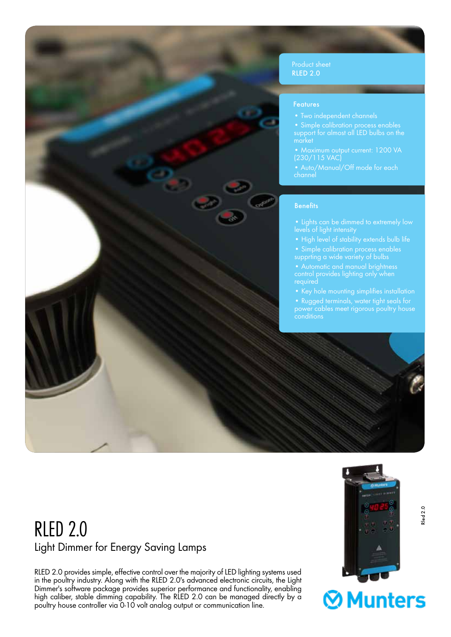

support for almost all LED bulbs on the

(230/115 VAC)

levels of light intensity

supprting a wide variety of bulbs

control provides lighting only when

• Rugged terminals, water tight seals for power cables meet rigorous poultry house

## RLED 2.0 Light Dimmer for Energy Saving Lamps

RLED 2.0 provides simple, effective control over the majority of LED lighting systems used in the poultry industry. Along with the RLED 2.0's advanced electronic circuits, the Light Dimmer's software package provides superior performance and functionality, enabling high caliber, stable dimming capability. The RLED 2.0 can be managed directly by a poultry house controller via 0-10 volt analog output or communication line.